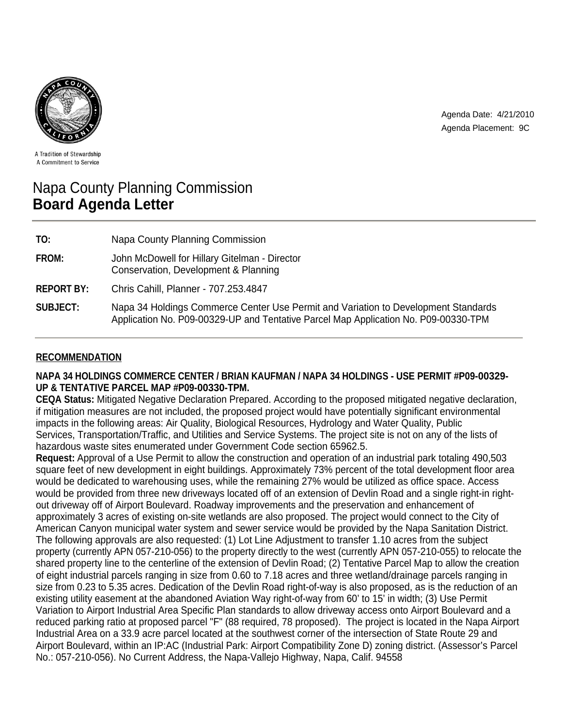



A Tradition of Stewardship A Commitment to Service

# Napa County Planning Commission **Board Agenda Letter**

| TO:               | Napa County Planning Commission                                                                                                                                           |
|-------------------|---------------------------------------------------------------------------------------------------------------------------------------------------------------------------|
| FROM:             | John McDowell for Hillary Gitelman - Director<br>Conservation, Development & Planning                                                                                     |
| <b>REPORT BY:</b> | Chris Cahill, Planner - 707.253.4847                                                                                                                                      |
| <b>SUBJECT:</b>   | Napa 34 Holdings Commerce Center Use Permit and Variation to Development Standards<br>Application No. P09-00329-UP and Tentative Parcel Map Application No. P09-00330-TPM |

# **RECOMMENDATION**

# **NAPA 34 HOLDINGS COMMERCE CENTER / BRIAN KAUFMAN / NAPA 34 HOLDINGS - USE PERMIT #P09-00329- UP & TENTATIVE PARCEL MAP #P09-00330-TPM.**

**CEQA Status:** Mitigated Negative Declaration Prepared. According to the proposed mitigated negative declaration, if mitigation measures are not included, the proposed project would have potentially significant environmental impacts in the following areas: Air Quality, Biological Resources, Hydrology and Water Quality, Public Services, Transportation/Traffic, and Utilities and Service Systems. The project site is not on any of the lists of hazardous waste sites enumerated under Government Code section 65962.5.

**Request:** Approval of a Use Permit to allow the construction and operation of an industrial park totaling 490,503 square feet of new development in eight buildings. Approximately 73% percent of the total development floor area would be dedicated to warehousing uses, while the remaining 27% would be utilized as office space. Access would be provided from three new driveways located off of an extension of Devlin Road and a single right-in rightout driveway off of Airport Boulevard. Roadway improvements and the preservation and enhancement of approximately 3 acres of existing on-site wetlands are also proposed. The project would connect to the City of American Canyon municipal water system and sewer service would be provided by the Napa Sanitation District. The following approvals are also requested: (1) Lot Line Adjustment to transfer 1.10 acres from the subject property (currently APN 057-210-056) to the property directly to the west (currently APN 057-210-055) to relocate the shared property line to the centerline of the extension of Devlin Road; (2) Tentative Parcel Map to allow the creation of eight industrial parcels ranging in size from 0.60 to 7.18 acres and three wetland/drainage parcels ranging in size from 0.23 to 5.35 acres. Dedication of the Devlin Road right-of-way is also proposed, as is the reduction of an existing utility easement at the abandoned Aviation Way right-of-way from 60' to 15' in width; (3) Use Permit Variation to Airport Industrial Area Specific Plan standards to allow driveway access onto Airport Boulevard and a reduced parking ratio at proposed parcel "F" (88 required, 78 proposed). The project is located in the Napa Airport Industrial Area on a 33.9 acre parcel located at the southwest corner of the intersection of State Route 29 and Airport Boulevard, within an IP:AC (Industrial Park: Airport Compatibility Zone D) zoning district. (Assessor's Parcel No.: 057-210-056). No Current Address, the Napa-Vallejo Highway, Napa, Calif. 94558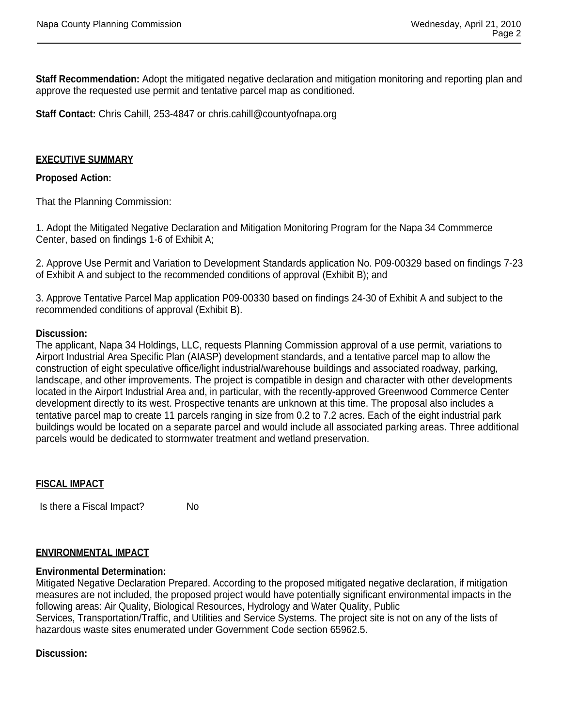**Staff Recommendation:** Adopt the mitigated negative declaration and mitigation monitoring and reporting plan and approve the requested use permit and tentative parcel map as conditioned.

**Staff Contact:** Chris Cahill, 253-4847 or chris.cahill@countyofnapa.org

# **EXECUTIVE SUMMARY**

### **Proposed Action:**

That the Planning Commission:

1. Adopt the Mitigated Negative Declaration and Mitigation Monitoring Program for the Napa 34 Commmerce Center, based on findings 1-6 of Exhibit A;

2. Approve Use Permit and Variation to Development Standards application No. P09-00329 based on findings 7-23 of Exhibit A and subject to the recommended conditions of approval (Exhibit B); and

3. Approve Tentative Parcel Map application P09-00330 based on findings 24-30 of Exhibit A and subject to the recommended conditions of approval (Exhibit B).

#### **Discussion:**

The applicant, Napa 34 Holdings, LLC, requests Planning Commission approval of a use permit, variations to Airport Industrial Area Specific Plan (AIASP) development standards, and a tentative parcel map to allow the construction of eight speculative office/light industrial/warehouse buildings and associated roadway, parking, landscape, and other improvements. The project is compatible in design and character with other developments located in the Airport Industrial Area and, in particular, with the recently-approved Greenwood Commerce Center development directly to its west. Prospective tenants are unknown at this time. The proposal also includes a tentative parcel map to create 11 parcels ranging in size from 0.2 to 7.2 acres. Each of the eight industrial park buildings would be located on a separate parcel and would include all associated parking areas. Three additional parcels would be dedicated to stormwater treatment and wetland preservation.

# **FISCAL IMPACT**

Is there a Fiscal Impact? No

# **ENVIRONMENTAL IMPACT**

#### **Environmental Determination:**

Mitigated Negative Declaration Prepared. According to the proposed mitigated negative declaration, if mitigation measures are not included, the proposed project would have potentially significant environmental impacts in the following areas: Air Quality, Biological Resources, Hydrology and Water Quality, Public Services, Transportation/Traffic, and Utilities and Service Systems. The project site is not on any of the lists of hazardous waste sites enumerated under Government Code section 65962.5.

#### **Discussion:**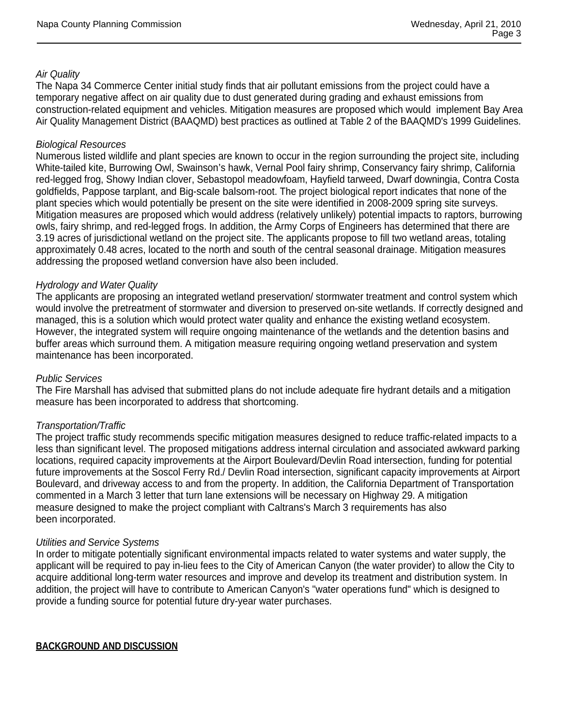# *Air Quality*

The Napa 34 Commerce Center initial study finds that air pollutant emissions from the project could have a temporary negative affect on air quality due to dust generated during grading and exhaust emissions from construction-related equipment and vehicles. Mitigation measures are proposed which would implement Bay Area Air Quality Management District (BAAQMD) best practices as outlined at Table 2 of the BAAQMD's 1999 Guidelines.

#### *Biological Resources*

Numerous listed wildlife and plant species are known to occur in the region surrounding the project site, including White-tailed kite, Burrowing Owl, Swainson's hawk, Vernal Pool fairy shrimp, Conservancy fairy shrimp, California red-legged frog, Showy Indian clover, Sebastopol meadowfoam, Hayfield tarweed, Dwarf downingia, Contra Costa goldfields, Pappose tarplant, and Big-scale balsom-root. The project biological report indicates that none of the plant species which would potentially be present on the site were identified in 2008-2009 spring site surveys. Mitigation measures are proposed which would address (relatively unlikely) potential impacts to raptors, burrowing owls, fairy shrimp, and red-legged frogs. In addition, the Army Corps of Engineers has determined that there are 3.19 acres of jurisdictional wetland on the project site. The applicants propose to fill two wetland areas, totaling approximately 0.48 acres, located to the north and south of the central seasonal drainage. Mitigation measures addressing the proposed wetland conversion have also been included.

#### *Hydrology and Water Quality*

The applicants are proposing an integrated wetland preservation/ stormwater treatment and control system which would involve the pretreatment of stormwater and diversion to preserved on-site wetlands. If correctly designed and managed, this is a solution which would protect water quality and enhance the existing wetland ecosystem. However, the integrated system will require ongoing maintenance of the wetlands and the detention basins and buffer areas which surround them. A mitigation measure requiring ongoing wetland preservation and system maintenance has been incorporated.

#### *Public Services*

The Fire Marshall has advised that submitted plans do not include adequate fire hydrant details and a mitigation measure has been incorporated to address that shortcoming.

#### *Transportation/Traffic*

The project traffic study recommends specific mitigation measures designed to reduce traffic-related impacts to a less than significant level. The proposed mitigations address internal circulation and associated awkward parking locations, required capacity improvements at the Airport Boulevard/Devlin Road intersection, funding for potential future improvements at the Soscol Ferry Rd./ Devlin Road intersection, significant capacity improvements at Airport Boulevard, and driveway access to and from the property. In addition, the California Department of Transportation commented in a March 3 letter that turn lane extensions will be necessary on Highway 29. A mitigation measure designed to make the project compliant with Caltrans's March 3 requirements has also been incorporated.

#### *Utilities and Service Systems*

In order to mitigate potentially significant environmental impacts related to water systems and water supply, the applicant will be required to pay in-lieu fees to the City of American Canyon (the water provider) to allow the City to acquire additional long-term water resources and improve and develop its treatment and distribution system. In addition, the project will have to contribute to American Canyon's "water operations fund" which is designed to provide a funding source for potential future dry-year water purchases.

**BACKGROUND AND DISCUSSION**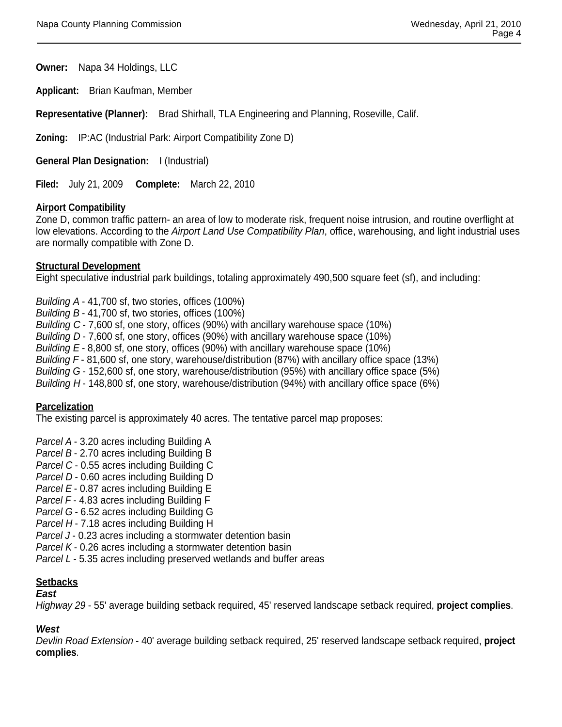**Owner:** Napa 34 Holdings, LLC

**Applicant:** Brian Kaufman, Member

**Representative (Planner):** Brad Shirhall, TLA Engineering and Planning, Roseville, Calif.

**Zoning:** IP:AC (Industrial Park: Airport Compatibility Zone D)

**General Plan Designation:** I (Industrial)

**Filed:** July 21, 2009 **Complete:** March 22, 2010

#### **Airport Compatibility**

Zone D, common traffic pattern- an area of low to moderate risk, frequent noise intrusion, and routine overflight at low elevations. According to the *Airport Land Use Compatibility Plan*, office, warehousing, and light industrial uses are normally compatible with Zone D.

#### **Structural Development**

Eight speculative industrial park buildings, totaling approximately 490,500 square feet (sf), and including:

*Building A* - 41,700 sf, two stories, offices (100%) *Building B* - 41,700 sf, two stories, offices (100%) *Building C* - 7,600 sf, one story, offices (90%) with ancillary warehouse space (10%) *Building D* - 7,600 sf, one story, offices (90%) with ancillary warehouse space (10%) *Building E* - 8,800 sf, one story, offices (90%) with ancillary warehouse space (10%) *Building F* - 81,600 sf, one story, warehouse/distribution (87%) with ancillary office space (13%) *Building G* - 152,600 sf, one story, warehouse/distribution (95%) with ancillary office space (5%) *Building H* - 148,800 sf, one story, warehouse/distribution (94%) with ancillary office space (6%)

# **Parcelization**

The existing parcel is approximately 40 acres. The tentative parcel map proposes:

*Parcel A* - 3.20 acres including Building A

*Parcel B* - 2.70 acres including Building B

*Parcel C* - 0.55 acres including Building C

*Parcel D* - 0.60 acres including Building D

*Parcel E* - 0.87 acres including Building E

*Parcel F* - 4.83 acres including Building F

*Parcel G* - 6.52 acres including Building G

Parcel H - 7.18 acres including Building H

*Parcel J* - 0.23 acres including a stormwater detention basin

*Parcel K* - 0.26 acres including a stormwater detention basin

*Parcel L* - 5.35 acres including preserved wetlands and buffer areas

#### **Setbacks**

#### *East*

*Highway 29* - 55' average building setback required, 45' reserved landscape setback required, **project complies**.

# *West*

*Devlin Road Extension* - 40' average building setback required, 25' reserved landscape setback required, **project complies**.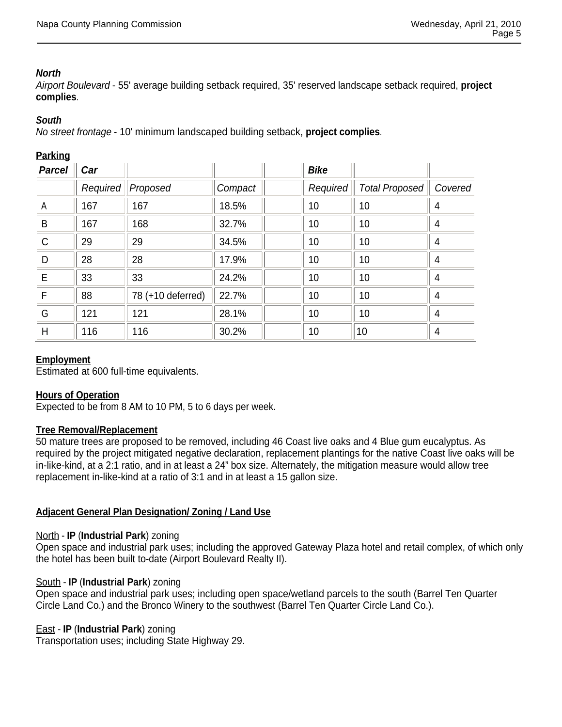# *North*

*Airport Boulevard* - 55' average building setback required, 35' reserved landscape setback required, **project complies**.

### *South*

*No street frontage* - 10' minimum landscaped building setback, **project complies**.

### **Parking**

| <b>Parcel</b> | Car      |                   |         | <b>Bike</b> |                       |         |
|---------------|----------|-------------------|---------|-------------|-----------------------|---------|
|               | Required | Proposed          | Compact | Required    | <b>Total Proposed</b> | Covered |
| A             | 167      | 167               | 18.5%   | 10          | 10                    | 4       |
| B             | 167      | 168               | 32.7%   | 10          | 10                    | 4       |
| $\mathsf{C}$  | 29       | 29                | 34.5%   | 10          | 10                    | 4       |
| D             | 28       | 28                | 17.9%   | 10          | 10                    | 4       |
| E             | 33       | 33                | 24.2%   | 10          | 10                    | 4       |
| F             | 88       | 78 (+10 deferred) | 22.7%   | 10          | 10                    | 4       |
| G             | 121      | 121               | 28.1%   | 10          | 10                    | 4       |
| H             | 116      | 116               | 30.2%   | 10          | 10                    | 4       |

# **Employment**

Estimated at 600 full-time equivalents.

# **Hours of Operation**

Expected to be from 8 AM to 10 PM, 5 to 6 days per week.

#### **Tree Removal/Replacement**

50 mature trees are proposed to be removed, including 46 Coast live oaks and 4 Blue gum eucalyptus. As required by the project mitigated negative declaration, replacement plantings for the native Coast live oaks will be in-like-kind, at a 2:1 ratio, and in at least a 24" box size. Alternately, the mitigation measure would allow tree replacement in-like-kind at a ratio of 3:1 and in at least a 15 gallon size.

# **Adjacent General Plan Designation/ Zoning / Land Use**

#### North - **IP** (**Industrial Park**) zoning

Open space and industrial park uses; including the approved Gateway Plaza hotel and retail complex, of which only the hotel has been built to-date (Airport Boulevard Realty II).

#### South - **IP** (**Industrial Park**) zoning

Open space and industrial park uses; including open space/wetland parcels to the south (Barrel Ten Quarter Circle Land Co.) and the Bronco Winery to the southwest (Barrel Ten Quarter Circle Land Co.).

# East - **IP** (**Industrial Park**) zoning

Transportation uses; including State Highway 29.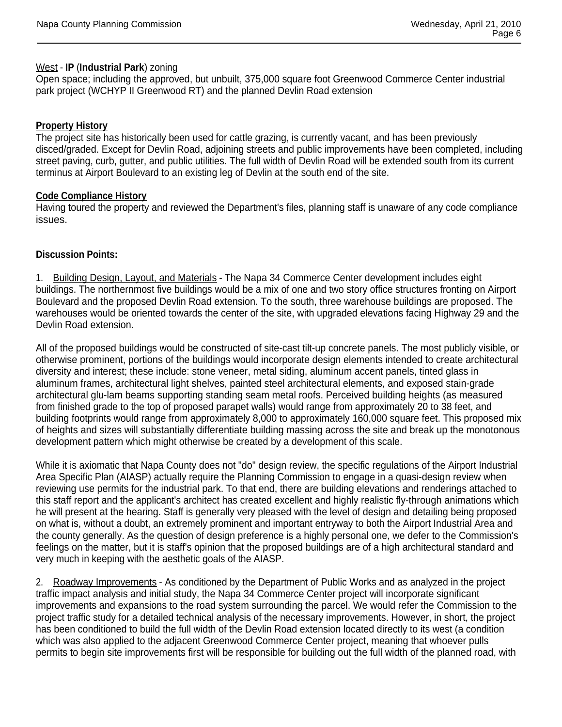#### West - **IP** (**Industrial Park**) zoning

Open space; including the approved, but unbuilt, 375,000 square foot Greenwood Commerce Center industrial park project (WCHYP II Greenwood RT) and the planned Devlin Road extension

# **Property History**

The project site has historically been used for cattle grazing, is currently vacant, and has been previously disced/graded. Except for Devlin Road, adjoining streets and public improvements have been completed, including street paving, curb, gutter, and public utilities. The full width of Devlin Road will be extended south from its current terminus at Airport Boulevard to an existing leg of Devlin at the south end of the site.

# **Code Compliance History**

Having toured the property and reviewed the Department's files, planning staff is unaware of any code compliance issues.

# **Discussion Points:**

1. Building Design, Layout, and Materials - The Napa 34 Commerce Center development includes eight buildings. The northernmost five buildings would be a mix of one and two story office structures fronting on Airport Boulevard and the proposed Devlin Road extension. To the south, three warehouse buildings are proposed. The warehouses would be oriented towards the center of the site, with upgraded elevations facing Highway 29 and the Devlin Road extension.

All of the proposed buildings would be constructed of site-cast tilt-up concrete panels. The most publicly visible, or otherwise prominent, portions of the buildings would incorporate design elements intended to create architectural diversity and interest; these include: stone veneer, metal siding, aluminum accent panels, tinted glass in aluminum frames, architectural light shelves, painted steel architectural elements, and exposed stain-grade architectural glu-lam beams supporting standing seam metal roofs. Perceived building heights (as measured from finished grade to the top of proposed parapet walls) would range from approximately 20 to 38 feet, and building footprints would range from approximately 8,000 to approximately 160,000 square feet. This proposed mix of heights and sizes will substantially differentiate building massing across the site and break up the monotonous development pattern which might otherwise be created by a development of this scale.

While it is axiomatic that Napa County does not "do" design review, the specific regulations of the Airport Industrial Area Specific Plan (AIASP) actually require the Planning Commission to engage in a quasi-design review when reviewing use permits for the industrial park. To that end, there are building elevations and renderings attached to this staff report and the applicant's architect has created excellent and highly realistic fly-through animations which he will present at the hearing. Staff is generally very pleased with the level of design and detailing being proposed on what is, without a doubt, an extremely prominent and important entryway to both the Airport Industrial Area and the county generally. As the question of design preference is a highly personal one, we defer to the Commission's feelings on the matter, but it is staff's opinion that the proposed buildings are of a high architectural standard and very much in keeping with the aesthetic goals of the AIASP.

2. Roadway Improvements - As conditioned by the Department of Public Works and as analyzed in the project traffic impact analysis and initial study, the Napa 34 Commerce Center project will incorporate significant improvements and expansions to the road system surrounding the parcel. We would refer the Commission to the project traffic study for a detailed technical analysis of the necessary improvements. However, in short, the project has been conditioned to build the full width of the Devlin Road extension located directly to its west (a condition which was also applied to the adjacent Greenwood Commerce Center project, meaning that whoever pulls permits to begin site improvements first will be responsible for building out the full width of the planned road, with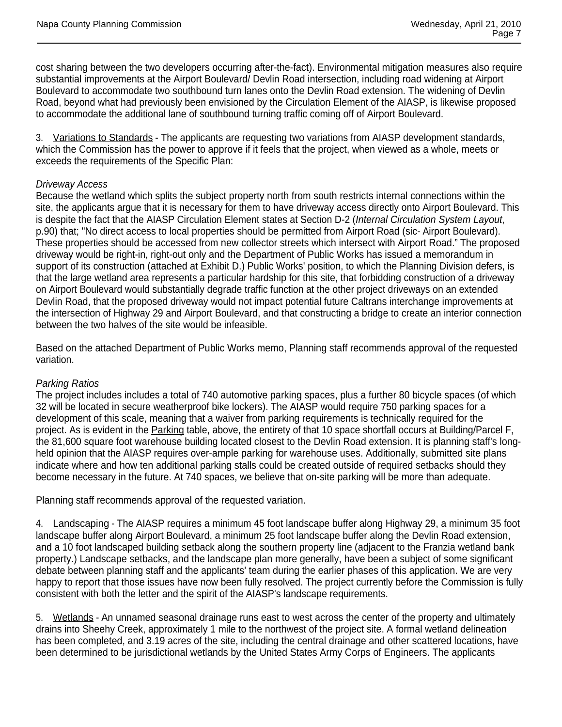cost sharing between the two developers occurring after-the-fact). Environmental mitigation measures also require substantial improvements at the Airport Boulevard/ Devlin Road intersection, including road widening at Airport Boulevard to accommodate two southbound turn lanes onto the Devlin Road extension. The widening of Devlin Road, beyond what had previously been envisioned by the Circulation Element of the AIASP, is likewise proposed to accommodate the additional lane of southbound turning traffic coming off of Airport Boulevard.

3. Variations to Standards - The applicants are requesting two variations from AIASP development standards, which the Commission has the power to approve if it feels that the project, when viewed as a whole, meets or exceeds the requirements of the Specific Plan:

# *Driveway Access*

Because the wetland which splits the subject property north from south restricts internal connections within the site, the applicants argue that it is necessary for them to have driveway access directly onto Airport Boulevard. This is despite the fact that the AIASP Circulation Element states at Section D-2 (*Internal Circulation System Layout*, p.90) that; "No direct access to local properties should be permitted from Airport Road (sic- Airport Boulevard). These properties should be accessed from new collector streets which intersect with Airport Road." The proposed driveway would be right-in, right-out only and the Department of Public Works has issued a memorandum in support of its construction (attached at Exhibit D.) Public Works' position, to which the Planning Division defers, is that the large wetland area represents a particular hardship for this site, that forbidding construction of a driveway on Airport Boulevard would substantially degrade traffic function at the other project driveways on an extended Devlin Road, that the proposed driveway would not impact potential future Caltrans interchange improvements at the intersection of Highway 29 and Airport Boulevard, and that constructing a bridge to create an interior connection between the two halves of the site would be infeasible.

Based on the attached Department of Public Works memo, Planning staff recommends approval of the requested variation.

#### *Parking Ratios*

The project includes includes a total of 740 automotive parking spaces, plus a further 80 bicycle spaces (of which 32 will be located in secure weatherproof bike lockers). The AIASP would require 750 parking spaces for a development of this scale, meaning that a waiver from parking requirements is technically required for the project. As is evident in the Parking table, above, the entirety of that 10 space shortfall occurs at Building/Parcel F, the 81,600 square foot warehouse building located closest to the Devlin Road extension. It is planning staff's longheld opinion that the AIASP requires over-ample parking for warehouse uses. Additionally, submitted site plans indicate where and how ten additional parking stalls could be created outside of required setbacks should they become necessary in the future. At 740 spaces, we believe that on-site parking will be more than adequate.

Planning staff recommends approval of the requested variation.

4. Landscaping - The AIASP requires a minimum 45 foot landscape buffer along Highway 29, a minimum 35 foot landscape buffer along Airport Boulevard, a minimum 25 foot landscape buffer along the Devlin Road extension, and a 10 foot landscaped building setback along the southern property line (adjacent to the Franzia wetland bank property.) Landscape setbacks, and the landscape plan more generally, have been a subject of some significant debate between planning staff and the applicants' team during the earlier phases of this application. We are very happy to report that those issues have now been fully resolved. The project currently before the Commission is fully consistent with both the letter and the spirit of the AIASP's landscape requirements.

5. Wetlands - An unnamed seasonal drainage runs east to west across the center of the property and ultimately drains into Sheehy Creek, approximately 1 mile to the northwest of the project site. A formal wetland delineation has been completed, and 3.19 acres of the site, including the central drainage and other scattered locations, have been determined to be jurisdictional wetlands by the United States Army Corps of Engineers. The applicants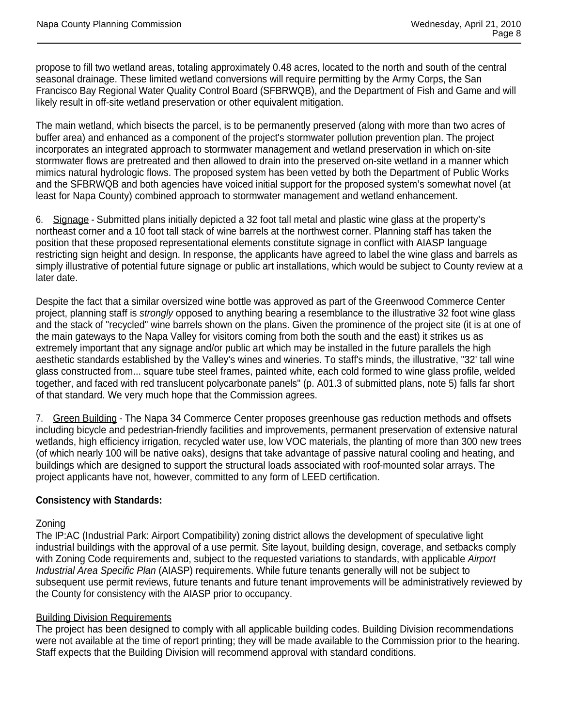propose to fill two wetland areas, totaling approximately 0.48 acres, located to the north and south of the central seasonal drainage. These limited wetland conversions will require permitting by the Army Corps, the San Francisco Bay Regional Water Quality Control Board (SFBRWQB), and the Department of Fish and Game and will likely result in off-site wetland preservation or other equivalent mitigation.

The main wetland, which bisects the parcel, is to be permanently preserved (along with more than two acres of buffer area) and enhanced as a component of the project's stormwater pollution prevention plan. The project incorporates an integrated approach to stormwater management and wetland preservation in which on-site stormwater flows are pretreated and then allowed to drain into the preserved on-site wetland in a manner which mimics natural hydrologic flows. The proposed system has been vetted by both the Department of Public Works and the SFBRWQB and both agencies have voiced initial support for the proposed system's somewhat novel (at least for Napa County) combined approach to stormwater management and wetland enhancement.

6. Signage - Submitted plans initially depicted a 32 foot tall metal and plastic wine glass at the property's northeast corner and a 10 foot tall stack of wine barrels at the northwest corner. Planning staff has taken the position that these proposed representational elements constitute signage in conflict with AIASP language restricting sign height and design. In response, the applicants have agreed to label the wine glass and barrels as simply illustrative of potential future signage or public art installations, which would be subject to County review at a later date.

Despite the fact that a similar oversized wine bottle was approved as part of the Greenwood Commerce Center project, planning staff is *strongly* opposed to anything bearing a resemblance to the illustrative 32 foot wine glass and the stack of "recycled" wine barrels shown on the plans. Given the prominence of the project site (it is at one of the main gateways to the Napa Valley for visitors coming from both the south and the east) it strikes us as extremely important that any signage and/or public art which may be installed in the future parallels the high aesthetic standards established by the Valley's wines and wineries. To staff's minds, the illustrative, "32' tall wine glass constructed from... square tube steel frames, painted white, each cold formed to wine glass profile, welded together, and faced with red translucent polycarbonate panels" (p. A01.3 of submitted plans, note 5) falls far short of that standard. We very much hope that the Commission agrees.

7. Green Building - The Napa 34 Commerce Center proposes greenhouse gas reduction methods and offsets including bicycle and pedestrian-friendly facilities and improvements, permanent preservation of extensive natural wetlands, high efficiency irrigation, recycled water use, low VOC materials, the planting of more than 300 new trees (of which nearly 100 will be native oaks), designs that take advantage of passive natural cooling and heating, and buildings which are designed to support the structural loads associated with roof-mounted solar arrays. The project applicants have not, however, committed to any form of LEED certification.

# **Consistency with Standards:**

# Zoning

The IP:AC (Industrial Park: Airport Compatibility) zoning district allows the development of speculative light industrial buildings with the approval of a use permit. Site layout, building design, coverage, and setbacks comply with Zoning Code requirements and, subject to the requested variations to standards, with applicable *Airport Industrial Area Specific Plan* (AIASP) requirements. While future tenants generally will not be subject to subsequent use permit reviews, future tenants and future tenant improvements will be administratively reviewed by the County for consistency with the AIASP prior to occupancy.

# Building Division Requirements

The project has been designed to comply with all applicable building codes. Building Division recommendations were not available at the time of report printing; they will be made available to the Commission prior to the hearing. Staff expects that the Building Division will recommend approval with standard conditions.